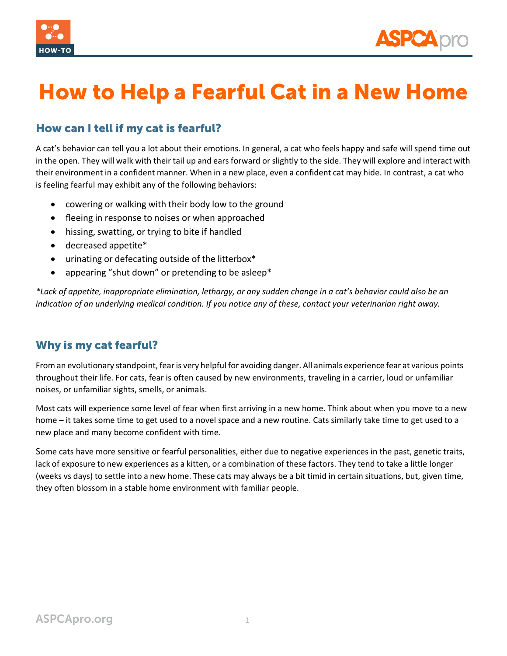



## How to Help a Fearful Cat in a New Home

## How can I tell if my cat is fearful?

A cat's behavior can tell you a lot about their emotions. In general, a cat who feels happy and safe will spend time out in the open. They will walk with their tail up and ears forward or slightly to the side. They will explore and interact with their environment in a confident manner. When in a new place, even a confident cat may hide. In contrast, a cat who is feeling fearful may exhibit any of the following behaviors:

- cowering or walking with their body low to the ground
- fleeing in response to noises or when approached
- hissing, swatting, or trying to bite if handled
- decreased appetite\*
- urinating or defecating outside of the litterbox\*
- appearing "shut down" or pretending to be asleep\*

*\*Lack of appetite, inappropriate elimination, lethargy, or any sudden change in a cat's behavior could also be an indication of an underlying medical condition. If you notice any of these, contact your veterinarian right away.*

## Why is my cat fearful?

From an evolutionary standpoint, fearis very helpful for avoiding danger. All animals experience fear at various points throughout their life. For cats, fear is often caused by new environments, traveling in a carrier, loud or unfamiliar noises, or unfamiliar sights, smells, or animals.

Most cats will experience some level of fear when first arriving in a new home. Think about when you move to a new home – it takes some time to get used to a novel space and a new routine. Cats similarly take time to get used to a new place and many become confident with time.

Some cats have more sensitive or fearful personalities, either due to negative experiences in the past, genetic traits, lack of exposure to new experiences as a kitten, or a combination of these factors. They tend to take a little longer (weeks vs days) to settle into a new home. These cats may always be a bit timid in certain situations, but, given time, they often blossom in a stable home environment with familiar people.